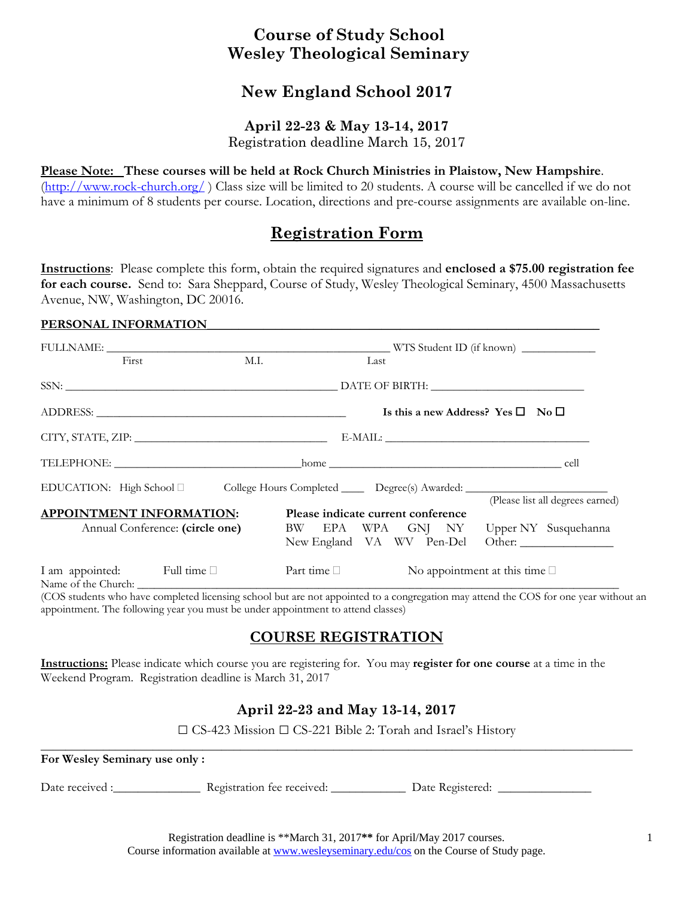## **Course of Study School Wesley Theological Seminary**

# **New England School 2017**

### **April 22-23 & May 13-14, 2017**

Registration deadline March 15, 2017

#### **Please Note: These courses will be held at Rock Church Ministries in Plaistow, New Hampshire**.

(http://www.rock-church.org/ ) Class size will be limited to 20 students. A course will be cancelled if we do not have a minimum of 8 students per course. Location, directions and pre-course assignments are available on-line.

## **Registration Form**

**Instructions**: Please complete this form, obtain the required signatures and **enclosed a \$75.00 registration fee for each course.** Send to: Sara Sheppard, Course of Study, Wesley Theological Seminary, 4500 Massachusetts Avenue, NW, Washington, DC 20016.

#### PERSONAL INFORMATION

|  | First                                                              | M.I.                                                                                     | Last                               |  |  |                                                   |                                                                                                                |
|--|--------------------------------------------------------------------|------------------------------------------------------------------------------------------|------------------------------------|--|--|---------------------------------------------------|----------------------------------------------------------------------------------------------------------------|
|  |                                                                    |                                                                                          |                                    |  |  |                                                   |                                                                                                                |
|  |                                                                    |                                                                                          |                                    |  |  | Is this a new Address? Yes $\square$ No $\square$ |                                                                                                                |
|  |                                                                    |                                                                                          |                                    |  |  | E-MAIL:                                           |                                                                                                                |
|  |                                                                    |                                                                                          |                                    |  |  |                                                   |                                                                                                                |
|  |                                                                    | EDUCATION: High School □ College Hours Completed _______ Degree(s) Awarded: ____________ |                                    |  |  |                                                   |                                                                                                                |
|  | <b>APPOINTMENT INFORMATION:</b><br>Annual Conference: (circle one) |                                                                                          | Please indicate current conference |  |  |                                                   | (Please list all degrees earned)<br>BW EPA WPA GNJ NY Upper NY Susquehanna<br>New England VA WV Pen-Del Other: |
|  | I am appointed: Full time                                          |                                                                                          | Part time $\Box$                   |  |  | No appointment at this time $\square$             |                                                                                                                |

(COS students who have completed licensing school but are not appointed to a congregation may attend the COS for one year without an appointment. The following year you must be under appointment to attend classes)

### **COURSE REGISTRATION**

**Instructions:** Please indicate which course you are registering for. You may **register for one course** at a time in the Weekend Program. Registration deadline is March 31, 2017

### **April 22-23 and May 13-14, 2017**

□ CS-423 Mission □ CS-221 Bible 2: Torah and Israel's History

**\_\_\_\_\_\_\_\_\_\_\_\_\_\_\_\_\_\_\_\_\_\_\_\_\_\_\_\_\_\_\_\_\_\_\_\_\_\_\_\_\_\_\_\_\_\_\_\_\_\_\_\_\_\_\_\_\_\_\_\_\_\_\_\_\_\_\_\_\_\_\_\_\_\_\_\_\_\_\_\_\_\_\_\_\_\_\_\_\_\_\_\_\_\_\_** 

#### **For Wesley Seminary use only :**

Date received : <br>
Registration fee received: <br>
Date Registered:

Registration deadline is \*\*March 31, 2017**\*\*** for April/May 2017 courses. Course information available at www.wesleyseminary.edu/cos on the Course of Study page.